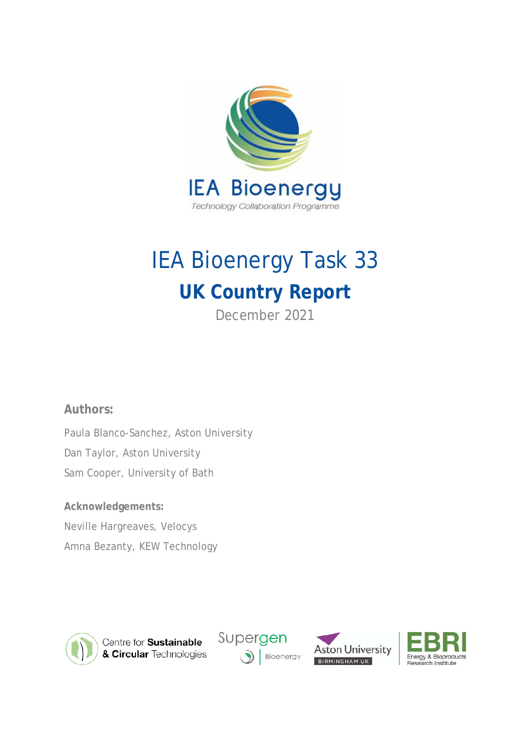

# IEA Bioenergy Task 33 **UK Country Report**

December 2021

# **Authors:**

Paula Blanco-Sanchez, Aston University Dan Taylor, Aston University Sam Cooper, University of Bath

# **Acknowledgements:**

Neville Hargreaves, Velocys

Amna Bezanty, KEW Technology



Centre for Sustainable & Circular Technologies





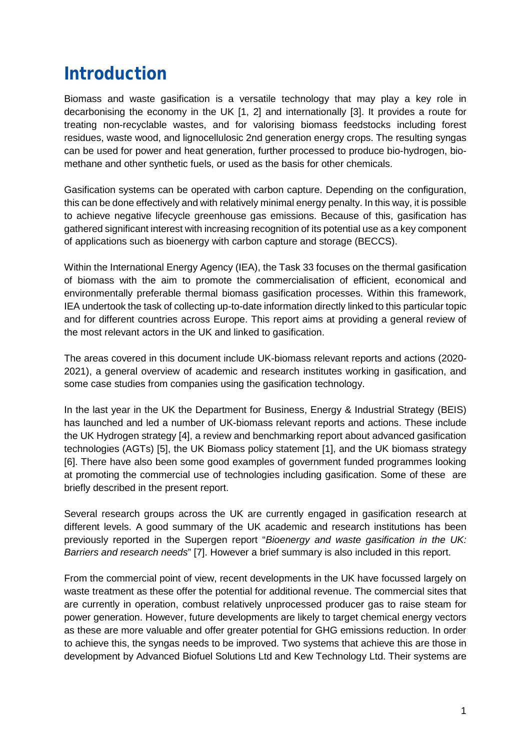# **Introduction**

Biomass and waste gasification is a versatile technology that may play a key role in decarbonising the economy in the UK [1, 2] and internationally [3]. It provides a route for treating non-recyclable wastes, and for valorising biomass feedstocks including forest residues, waste wood, and lignocellulosic 2nd generation energy crops. The resulting syngas can be used for power and heat generation, further processed to produce bio-hydrogen, biomethane and other synthetic fuels, or used as the basis for other chemicals.

Gasification systems can be operated with carbon capture. Depending on the configuration, this can be done effectively and with relatively minimal energy penalty. In this way, it is possible to achieve negative lifecycle greenhouse gas emissions. Because of this, gasification has gathered significant interest with increasing recognition of its potential use as a key component of applications such as bioenergy with carbon capture and storage (BECCS).

Within the International Energy Agency (IEA), the Task 33 focuses on the thermal gasification of biomass with the aim to promote the commercialisation of efficient, economical and environmentally preferable thermal biomass gasification processes. Within this framework, IEA undertook the task of collecting up-to-date information directly linked to this particular topic and for different countries across Europe. This report aims at providing a general review of the most relevant actors in the UK and linked to gasification.

The areas covered in this document include UK-biomass relevant reports and actions (2020- 2021), a general overview of academic and research institutes working in gasification, and some case studies from companies using the gasification technology.

In the last year in the UK the Department for Business, Energy & Industrial Strategy (BEIS) has launched and led a number of UK-biomass relevant reports and actions. These include the UK Hydrogen strategy [4], a review and benchmarking report about advanced gasification technologies (AGTs) [5], the UK Biomass policy statement [1], and the UK biomass strategy [6]. There have also been some good examples of government funded programmes looking at promoting the commercial use of technologies including gasification. Some of these are briefly described in the present report.

Several research groups across the UK are currently engaged in gasification research at different levels. A good summary of the UK academic and research institutions has been previously reported in the Supergen report "*Bioenergy and waste gasification in the UK: Barriers and research needs*" [7]. However a brief summary is also included in this report.

From the commercial point of view, recent developments in the UK have focussed largely on waste treatment as these offer the potential for additional revenue. The commercial sites that are currently in operation, combust relatively unprocessed producer gas to raise steam for power generation. However, future developments are likely to target chemical energy vectors as these are more valuable and offer greater potential for GHG emissions reduction. In order to achieve this, the syngas needs to be improved. Two systems that achieve this are those in development by Advanced Biofuel Solutions Ltd and Kew Technology Ltd. Their systems are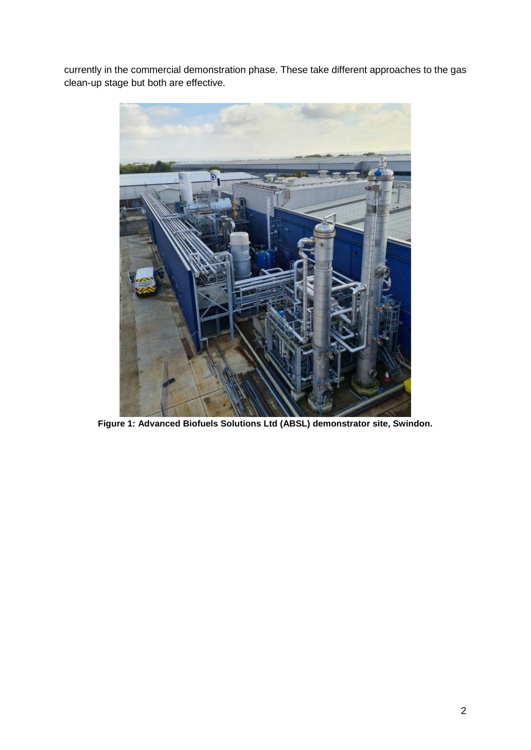currently in the commercial demonstration phase. These take different approaches to the gas clean-up stage but both are effective.



**Figure 1: Advanced Biofuels Solutions Ltd (ABSL) demonstrator site, Swindon.**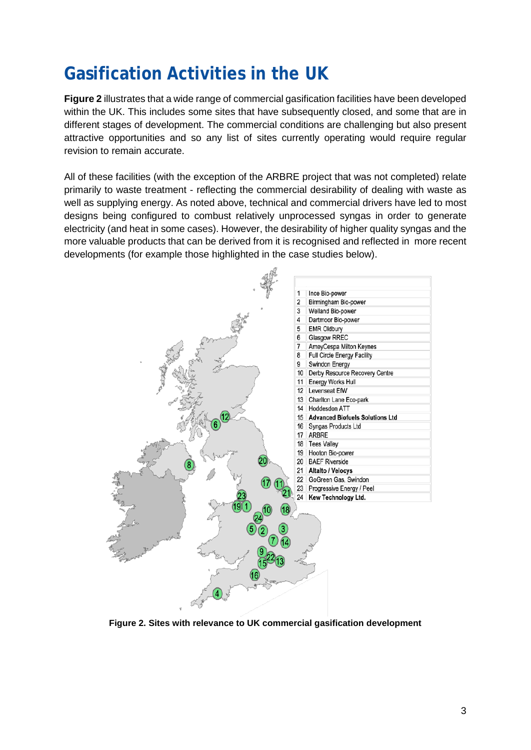# **Gasification Activities in the UK**

**Figure 2** illustrates that a wide range of commercial gasification facilities have been developed within the UK. This includes some sites that have subsequently closed, and some that are in different stages of development. The commercial conditions are challenging but also present attractive opportunities and so any list of sites currently operating would require regular revision to remain accurate.

All of these facilities (with the exception of the ARBRE project that was not completed) relate primarily to waste treatment - reflecting the commercial desirability of dealing with waste as well as supplying energy. As noted above, technical and commercial drivers have led to most designs being configured to combust relatively unprocessed syngas in order to generate electricity (and heat in some cases). However, the desirability of higher quality syngas and the more valuable products that can be derived from it is recognised and reflected in more recent developments (for example those highlighted in the case studies below).



**Figure 2. Sites with relevance to UK commercial gasification development**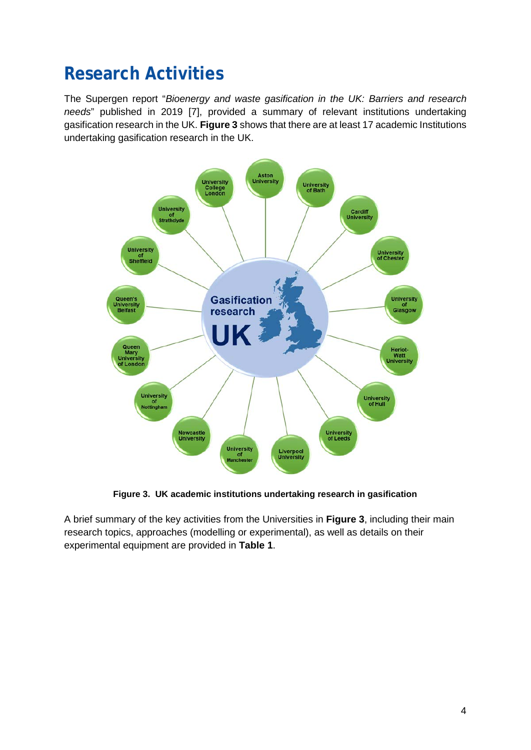# **Research Activities**

The Supergen report "*Bioenergy and waste gasification in the UK: Barriers and research needs*" published in 2019 [7], provided a summary of relevant institutions undertaking gasification research in the UK. **Figure 3** shows that there are at least 17 academic Institutions undertaking gasification research in the UK.



**Figure 3. UK academic institutions undertaking research in gasification**

A brief summary of the key activities from the Universities in **Figure 3**, including their main research topics, approaches (modelling or experimental), as well as details on their experimental equipment are provided in **Table 1**.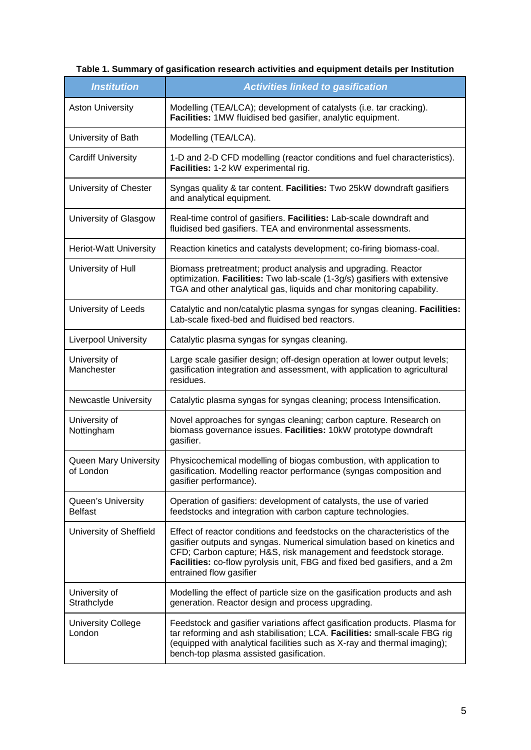| <b>Institution</b>                   | <b>Activities linked to gasification</b>                                                                                                                                                                                                                                                                                         |
|--------------------------------------|----------------------------------------------------------------------------------------------------------------------------------------------------------------------------------------------------------------------------------------------------------------------------------------------------------------------------------|
| <b>Aston University</b>              | Modelling (TEA/LCA); development of catalysts (i.e. tar cracking).<br>Facilities: 1MW fluidised bed gasifier, analytic equipment.                                                                                                                                                                                                |
| University of Bath                   | Modelling (TEA/LCA).                                                                                                                                                                                                                                                                                                             |
| <b>Cardiff University</b>            | 1-D and 2-D CFD modelling (reactor conditions and fuel characteristics).<br>Facilities: 1-2 kW experimental rig.                                                                                                                                                                                                                 |
| University of Chester                | Syngas quality & tar content. Facilities: Two 25kW downdraft gasifiers<br>and analytical equipment.                                                                                                                                                                                                                              |
| University of Glasgow                | Real-time control of gasifiers. Facilities: Lab-scale downdraft and<br>fluidised bed gasifiers. TEA and environmental assessments.                                                                                                                                                                                               |
| Heriot-Watt University               | Reaction kinetics and catalysts development; co-firing biomass-coal.                                                                                                                                                                                                                                                             |
| University of Hull                   | Biomass pretreatment; product analysis and upgrading. Reactor<br>optimization. Facilities: Two lab-scale (1-3g/s) gasifiers with extensive<br>TGA and other analytical gas, liquids and char monitoring capability.                                                                                                              |
| University of Leeds                  | Catalytic and non/catalytic plasma syngas for syngas cleaning. Facilities:<br>Lab-scale fixed-bed and fluidised bed reactors.                                                                                                                                                                                                    |
| Liverpool University                 | Catalytic plasma syngas for syngas cleaning.                                                                                                                                                                                                                                                                                     |
| University of<br>Manchester          | Large scale gasifier design; off-design operation at lower output levels;<br>gasification integration and assessment, with application to agricultural<br>residues.                                                                                                                                                              |
| Newcastle University                 | Catalytic plasma syngas for syngas cleaning; process Intensification.                                                                                                                                                                                                                                                            |
| University of<br>Nottingham          | Novel approaches for syngas cleaning; carbon capture. Research on<br>biomass governance issues. Facilities: 10kW prototype downdraft<br>gasifier.                                                                                                                                                                                |
| Queen Mary University<br>of London   | Physicochemical modelling of biogas combustion, with application to<br>gasification. Modelling reactor performance (syngas composition and<br>gasifier performance).                                                                                                                                                             |
| Queen's University<br><b>Belfast</b> | Operation of gasifiers: development of catalysts, the use of varied<br>feedstocks and integration with carbon capture technologies.                                                                                                                                                                                              |
| University of Sheffield              | Effect of reactor conditions and feedstocks on the characteristics of the<br>gasifier outputs and syngas. Numerical simulation based on kinetics and<br>CFD; Carbon capture; H&S, risk management and feedstock storage.<br>Facilities: co-flow pyrolysis unit, FBG and fixed bed gasifiers, and a 2m<br>entrained flow gasifier |
| University of<br>Strathclyde         | Modelling the effect of particle size on the gasification products and ash<br>generation. Reactor design and process upgrading.                                                                                                                                                                                                  |
| <b>University College</b><br>London  | Feedstock and gasifier variations affect gasification products. Plasma for<br>tar reforming and ash stabilisation; LCA. Facilities: small-scale FBG rig<br>(equipped with analytical facilities such as X-ray and thermal imaging);<br>bench-top plasma assisted gasification.                                                   |

# **Table 1. Summary of gasification research activities and equipment details per Institution**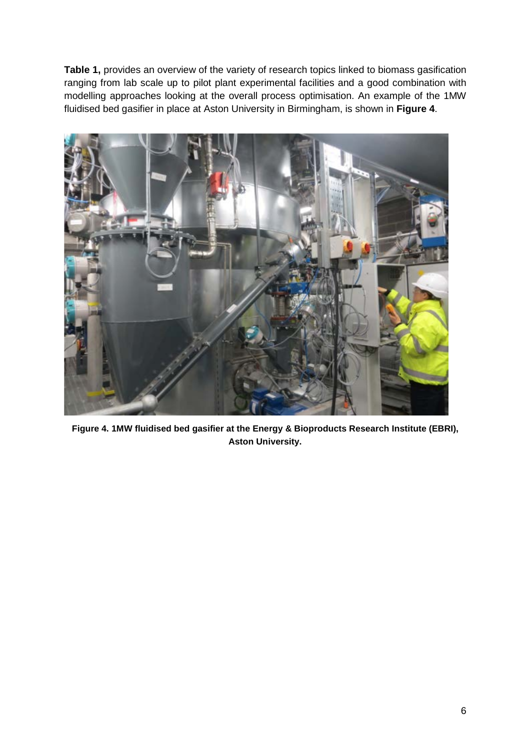**Table 1,** provides an overview of the variety of research topics linked to biomass gasification ranging from lab scale up to pilot plant experimental facilities and a good combination with modelling approaches looking at the overall process optimisation. An example of the 1MW fluidised bed gasifier in place at Aston University in Birmingham, is shown in **Figure 4**.



**Figure 4. 1MW fluidised bed gasifier at the Energy & Bioproducts Research Institute (EBRI), Aston University.**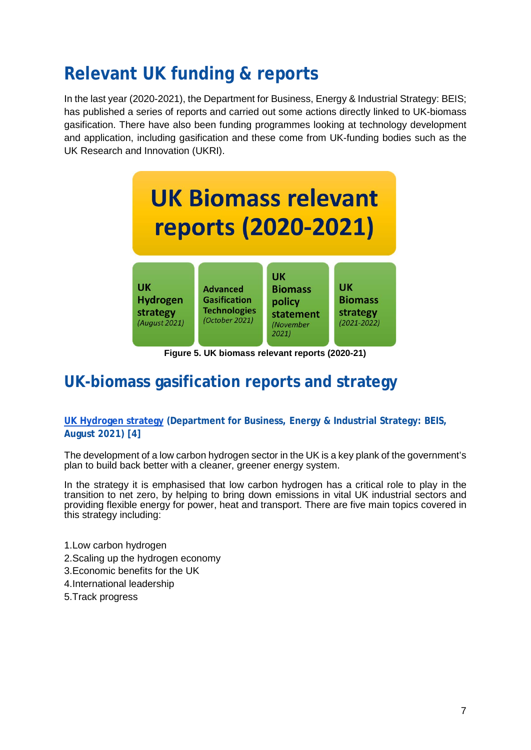# **Relevant UK funding & reports**

In the last year (2020-2021), the Department for Business, Energy & Industrial Strategy: BEIS; has published a series of reports and carried out some actions directly linked to UK-biomass gasification. There have also been funding programmes looking at technology development and application, including gasification and these come from UK-funding bodies such as the UK Research and Innovation (UKRI).



**Figure 5. UK biomass relevant reports (2020-21)**

# **UK-biomass gasification reports and strategy**

**[UK Hydrogen strategy](https://assets.publishing.service.gov.uk/government/uploads/system/uploads/attachment_data/file/1011283/UK-Hydrogen-Strategy_web.pdf) (Department for Business, Energy & Industrial Strategy: BEIS, August 2021) [4]**

The development of a low carbon hydrogen sector in the UK is a key plank of the government's plan to build back better with a cleaner, greener energy system.

In the strategy it is emphasised that low carbon hydrogen has a critical role to play in the transition to net zero, by helping to bring down emissions in vital UK industrial sectors and providing flexible energy for power, heat and transport. There are five main topics covered in this strategy including:

- 1.Low carbon hydrogen
- 2.Scaling up the hydrogen economy
- 3.Economic benefits for the UK
- 4.International leadership
- 5.Track progress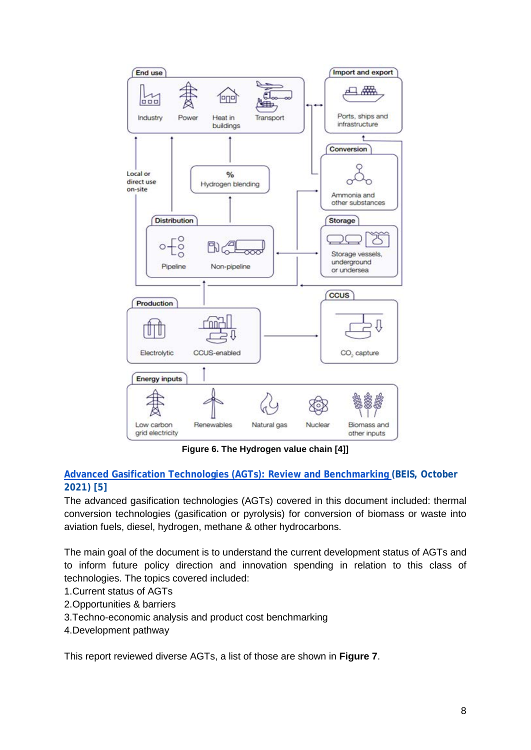

**Figure 6. The Hydrogen value chain [4]]**

## **[Advanced Gasification Technologies \(AGTs\): Review and Benchmarking \(](https://www.gov.uk/government/publications/advanced-gasification-technologies-review-and-benchmarking)BEIS, October 2021) [5]**

The advanced gasification technologies (AGTs) covered in this document included: thermal conversion technologies (gasification or pyrolysis) for conversion of biomass or waste into aviation fuels, diesel, hydrogen, methane & other hydrocarbons.

The main goal of the document is to understand the current development status of AGTs and to inform future policy direction and innovation spending in relation to this class of technologies. The topics covered included:

- 1.Current status of AGTs
- 2.Opportunities & barriers
- 3.Techno-economic analysis and product cost benchmarking
- 4.Development pathway

This report reviewed diverse AGTs, a list of those are shown in **Figure 7**.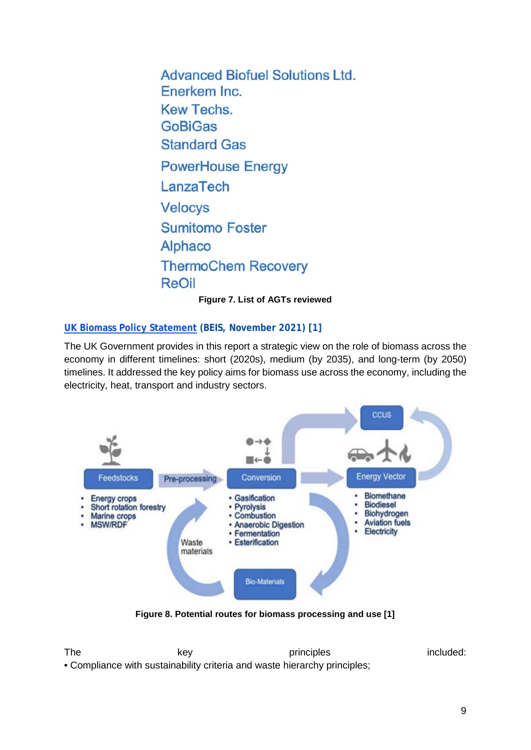**Advanced Biofuel Solutions Ltd.** Enerkem Inc. **Kew Techs. GoBiGas Standard Gas PowerHouse Energy** LanzaTech **Velocys Sumitomo Foster** Alphaco **ThermoChem Recovery** ReOil

**Figure 7. List of AGTs reviewed**

### **[UK Biomass Policy Statement](https://assets.publishing.service.gov.uk/government/uploads/system/uploads/attachment_data/file/1031057/biomass-policy-statement.pdf) (BEIS, November 2021) [1]**

The UK Government provides in this report a strategic view on the role of biomass across the economy in different timelines: short (2020s), medium (by 2035), and long-term (by 2050) timelines. It addressed the key policy aims for biomass use across the economy, including the electricity, heat, transport and industry sectors.



The key key principles included: • Compliance with sustainability criteria and waste hierarchy principles;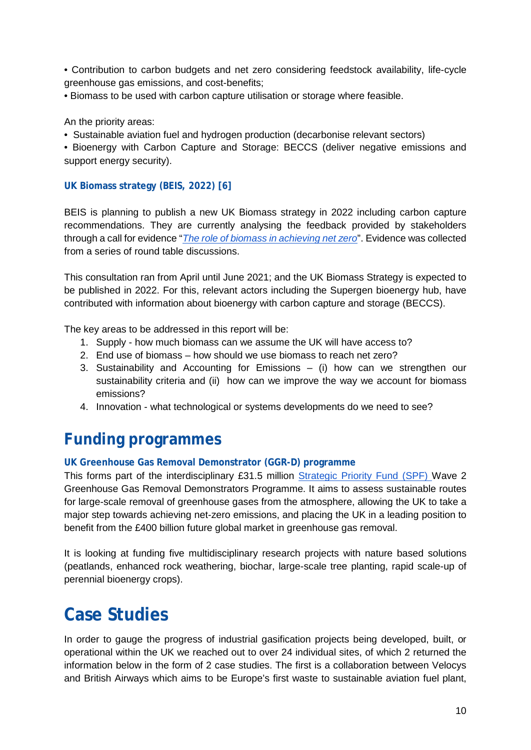• Contribution to carbon budgets and net zero considering feedstock availability, life-cycle greenhouse gas emissions, and cost-benefits;

• Biomass to be used with carbon capture utilisation or storage where feasible.

An the priority areas:

• Sustainable aviation fuel and hydrogen production (decarbonise relevant sectors)

• Bioenergy with Carbon Capture and Storage: BECCS (deliver negative emissions and support energy security).

### **UK Biomass strategy (BEIS, 2022) [6]**

BEIS is planning to publish a new UK Biomass strategy in 2022 including carbon capture recommendations. They are currently analysing the feedback provided by stakeholders through a call for evidence "*[The role of biomass in achieving net zero](https://www.gov.uk/government/consultations/role-of-biomass-in-achieving-net-zero-call-for-evidence)*". Evidence was collected from a series of round table discussions.

This consultation ran from April until June 2021; and the UK Biomass Strategy is expected to be published in 2022. For this, relevant actors including the Supergen bioenergy hub, have contributed with information about bioenergy with carbon capture and storage (BECCS).

The key areas to be addressed in this report will be:

- 1. Supply how much biomass can we assume the UK will have access to?
- 2. End use of biomass how should we use biomass to reach net zero?
- 3. Sustainability and Accounting for Emissions (i) how can we strengthen our sustainability criteria and (ii) how can we improve the way we account for biomass emissions?
- 4. Innovation what technological or systems developments do we need to see?

# **Funding programmes**

#### **UK Greenhouse Gas Removal Demonstrator (GGR-D) programme**

This forms part of the interdisciplinary £31.5 million [Strategic Priority Fund \(SPF\) W](https://www.ukri.org/our-work/our-main-funds/strategic-priorities-fund/)ave 2 Greenhouse Gas Removal Demonstrators Programme. It aims to assess sustainable routes for large-scale removal of greenhouse gases from the atmosphere, allowing the UK to take a major step towards achieving net-zero emissions, and placing the UK in a leading position to benefit from the £400 billion future global market in greenhouse gas removal.

It is looking at funding five multidisciplinary research projects with nature based solutions (peatlands, enhanced rock weathering, biochar, large-scale tree planting, rapid scale-up of perennial bioenergy crops).

# **Case Studies**

In order to gauge the progress of industrial gasification projects being developed, built, or operational within the UK we reached out to over 24 individual sites, of which 2 returned the information below in the form of 2 case studies. The first is a collaboration between Velocys and British Airways which aims to be Europe's first waste to sustainable aviation fuel plant,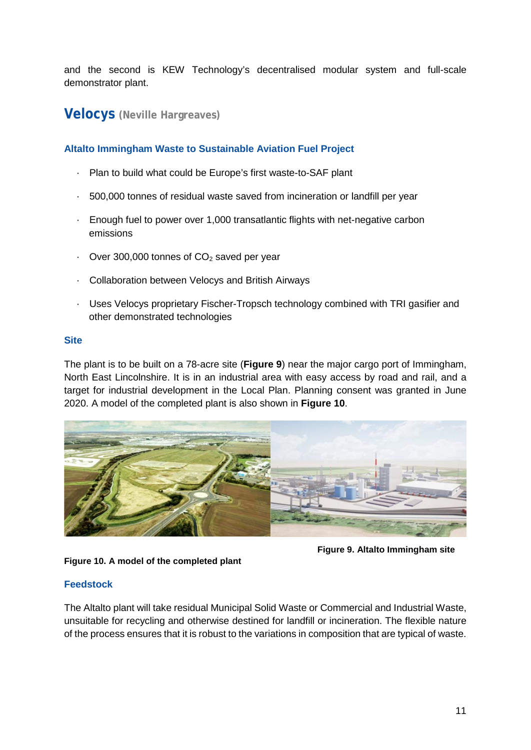and the second is KEW Technology's decentralised modular system and full-scale demonstrator plant.

# **Velocys (Neville Hargreaves)**

### **Altalto Immingham Waste to Sustainable Aviation Fuel Project**

- Plan to build what could be Europe's first waste-to-SAF plant
- · 500,000 tonnes of residual waste saved from incineration or landfill per year
- · Enough fuel to power over 1,000 transatlantic flights with net-negative carbon emissions
- $\cdot$  Over 300,000 tonnes of CO<sub>2</sub> saved per year
- · Collaboration between Velocys and British Airways
- · Uses Velocys proprietary Fischer-Tropsch technology combined with TRI gasifier and other demonstrated technologies

#### **Site**

The plant is to be built on a 78-acre site (**Figure 9**) near the major cargo port of Immingham, North East Lincolnshire. It is in an industrial area with easy access by road and rail, and a target for industrial development in the Local Plan. Planning consent was granted in June 2020. A model of the completed plant is also shown in **Figure 10**.





**Figure 9. Altalto Immingham site** 

### **Feedstock**

The Altalto plant will take residual Municipal Solid Waste or Commercial and Industrial Waste, unsuitable for recycling and otherwise destined for landfill or incineration. The flexible nature of the process ensures that it is robust to the variations in composition that are typical of waste.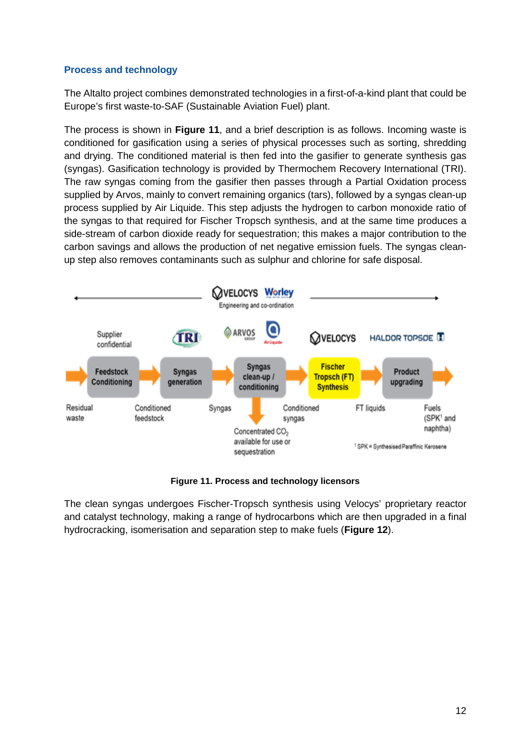### **Process and technology**

The Altalto project combines demonstrated technologies in a first-of-a-kind plant that could be Europe's first waste-to-SAF (Sustainable Aviation Fuel) plant.

The process is shown in **Figure 11**, and a brief description is as follows. Incoming waste is conditioned for gasification using a series of physical processes such as sorting, shredding and drying. The conditioned material is then fed into the gasifier to generate synthesis gas (syngas). Gasification technology is provided by Thermochem Recovery International (TRI). The raw syngas coming from the gasifier then passes through a Partial Oxidation process supplied by Arvos, mainly to convert remaining organics (tars), followed by a syngas clean-up process supplied by Air Liquide. This step adjusts the hydrogen to carbon monoxide ratio of the syngas to that required for Fischer Tropsch synthesis, and at the same time produces a side-stream of carbon dioxide ready for sequestration; this makes a major contribution to the carbon savings and allows the production of net negative emission fuels. The syngas cleanup step also removes contaminants such as sulphur and chlorine for safe disposal.



**Figure 11. Process and technology licensors**

The clean syngas undergoes Fischer-Tropsch synthesis using Velocys' proprietary reactor and catalyst technology, making a range of hydrocarbons which are then upgraded in a final hydrocracking, isomerisation and separation step to make fuels (**Figure 12**).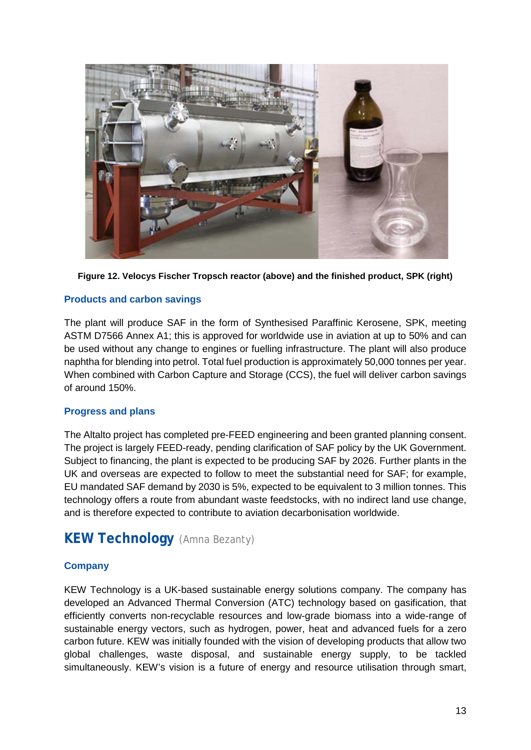

**Figure 12. Velocys Fischer Tropsch reactor (above) and the finished product, SPK (right)**

### **Products and carbon savings**

The plant will produce SAF in the form of Synthesised Paraffinic Kerosene, SPK, meeting ASTM D7566 Annex A1; this is approved for worldwide use in aviation at up to 50% and can be used without any change to engines or fuelling infrastructure. The plant will also produce naphtha for blending into petrol. Total fuel production is approximately 50,000 tonnes per year. When combined with Carbon Capture and Storage (CCS), the fuel will deliver carbon savings of around 150%.

#### **Progress and plans**

The Altalto project has completed pre-FEED engineering and been granted planning consent. The project is largely FEED-ready, pending clarification of SAF policy by the UK Government. Subject to financing, the plant is expected to be producing SAF by 2026. Further plants in the UK and overseas are expected to follow to meet the substantial need for SAF; for example, EU mandated SAF demand by 2030 is 5%, expected to be equivalent to 3 million tonnes. This technology offers a route from abundant waste feedstocks, with no indirect land use change, and is therefore expected to contribute to aviation decarbonisation worldwide.

# **KEW Technology** (Amna Bezanty)

### **Company**

KEW Technology is a UK-based sustainable energy solutions company. The company has developed an Advanced Thermal Conversion (ATC) technology based on gasification, that efficiently converts non-recyclable resources and low-grade biomass into a wide-range of sustainable energy vectors, such as hydrogen, power, heat and advanced fuels for a zero carbon future. KEW was initially founded with the vision of developing products that allow two global challenges, waste disposal, and sustainable energy supply, to be tackled simultaneously. KEW's vision is a future of energy and resource utilisation through smart,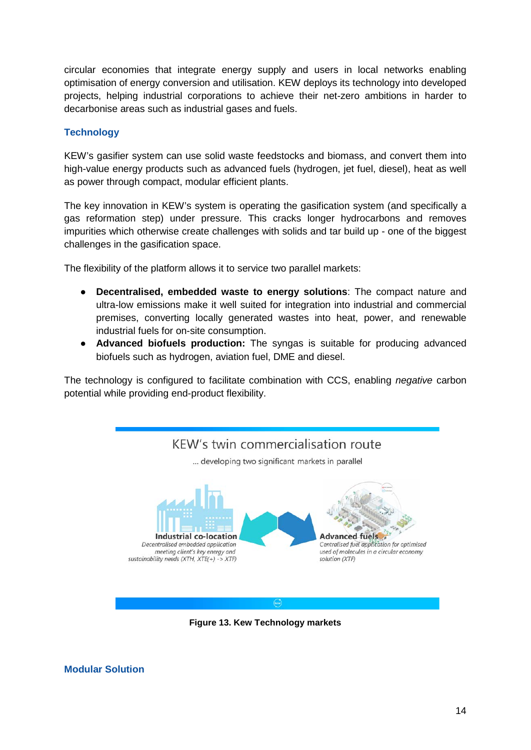circular economies that integrate energy supply and users in local networks enabling optimisation of energy conversion and utilisation. KEW deploys its technology into developed projects, helping industrial corporations to achieve their net-zero ambitions in harder to decarbonise areas such as industrial gases and fuels.

### **Technology**

KEW's gasifier system can use solid waste feedstocks and biomass, and convert them into high-value energy products such as advanced fuels (hydrogen, jet fuel, diesel), heat as well as power through compact, modular efficient plants.

The key innovation in KEW's system is operating the gasification system (and specifically a gas reformation step) under pressure. This cracks longer hydrocarbons and removes impurities which otherwise create challenges with solids and tar build up - one of the biggest challenges in the gasification space.

The flexibility of the platform allows it to service two parallel markets:

- **Decentralised, embedded waste to energy solutions**: The compact nature and ultra-low emissions make it well suited for integration into industrial and commercial premises, converting locally generated wastes into heat, power, and renewable industrial fuels for on-site consumption.
- **Advanced biofuels production:** The syngas is suitable for producing advanced biofuels such as hydrogen, aviation fuel, DME and diesel.

The technology is configured to facilitate combination with CCS, enabling *negative* carbon potential while providing end-product flexibility.



**Figure 13. Kew Technology markets**

**Modular Solution**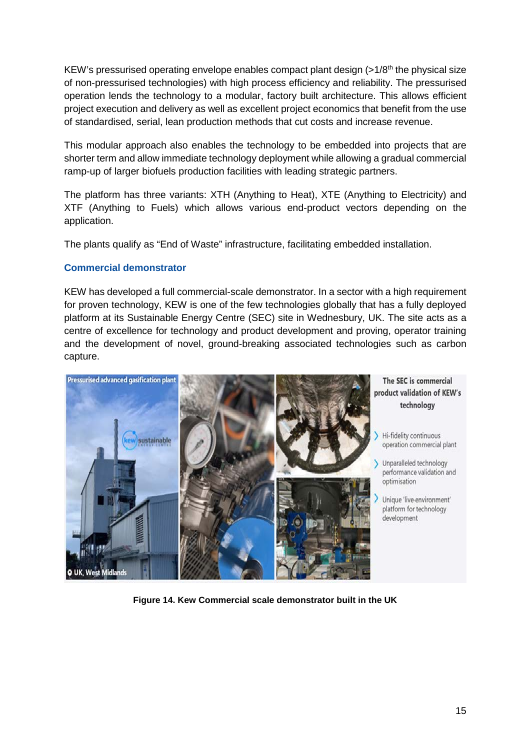KEW's pressurised operating envelope enables compact plant design  $(>1/8<sup>th</sup>$  the physical size of non-pressurised technologies) with high process efficiency and reliability. The pressurised operation lends the technology to a modular, factory built architecture. This allows efficient project execution and delivery as well as excellent project economics that benefit from the use of standardised, serial, lean production methods that cut costs and increase revenue.

This modular approach also enables the technology to be embedded into projects that are shorter term and allow immediate technology deployment while allowing a gradual commercial ramp-up of larger biofuels production facilities with leading strategic partners.

The platform has three variants: XTH (Anything to Heat), XTE (Anything to Electricity) and XTF (Anything to Fuels) which allows various end-product vectors depending on the application.

The plants qualify as "End of Waste" infrastructure, facilitating embedded installation.

### **Commercial demonstrator**

KEW has developed a full commercial-scale demonstrator. In a sector with a high requirement for proven technology, KEW is one of the few technologies globally that has a fully deployed platform at its Sustainable Energy Centre (SEC) site in Wednesbury, UK. The site acts as a centre of excellence for technology and product development and proving, operator training and the development of novel, ground-breaking associated technologies such as carbon capture.



The SEC is commercial product validation of KEW's technology

Hi-fidelity continuous operation commercial plant

> Unparalleled technology performance validation and optimisation

Unique 'live-environment' platform for technology development

**Figure 14. Kew Commercial scale demonstrator built in the UK**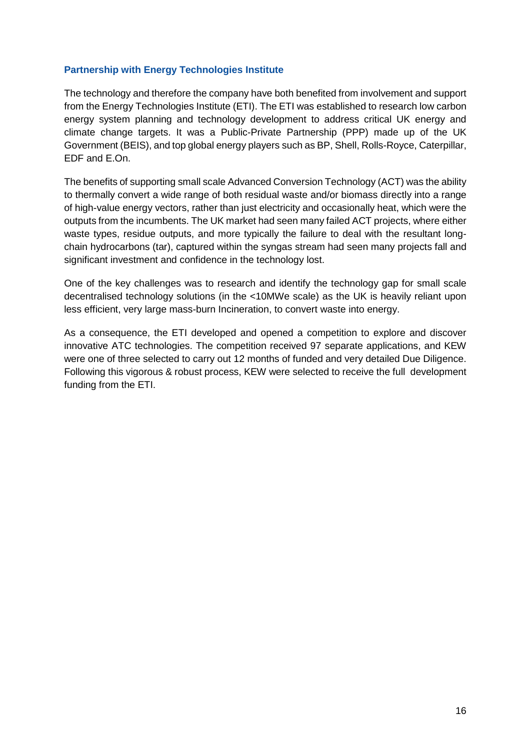### **Partnership with Energy Technologies Institute**

The technology and therefore the company have both benefited from involvement and support from the Energy Technologies Institute (ETI). The ETI was established to research low carbon energy system planning and technology development to address critical UK energy and climate change targets. It was a Public-Private Partnership (PPP) made up of the UK Government (BEIS), and top global energy players such as BP, Shell, Rolls-Royce, Caterpillar, EDF and E.On.

The benefits of supporting small scale Advanced Conversion Technology (ACT) was the ability to thermally convert a wide range of both residual waste and/or biomass directly into a range of high-value energy vectors, rather than just electricity and occasionally heat, which were the outputs from the incumbents. The UK market had seen many failed ACT projects, where either waste types, residue outputs, and more typically the failure to deal with the resultant longchain hydrocarbons (tar), captured within the syngas stream had seen many projects fall and significant investment and confidence in the technology lost.

One of the key challenges was to research and identify the technology gap for small scale decentralised technology solutions (in the <10MWe scale) as the UK is heavily reliant upon less efficient, very large mass-burn Incineration, to convert waste into energy.

As a consequence, the ETI developed and opened a competition to explore and discover innovative ATC technologies. The competition received 97 separate applications, and KEW were one of three selected to carry out 12 months of funded and very detailed Due Diligence. Following this vigorous & robust process, KEW were selected to receive the full development funding from the ETI.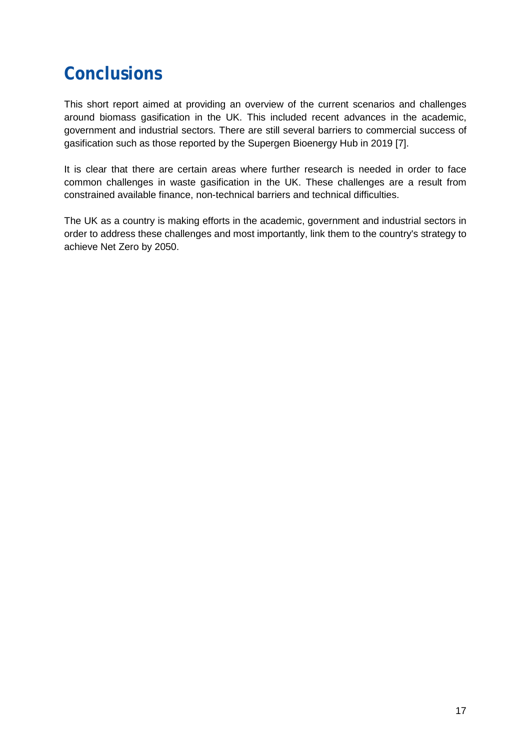# **Conclusions**

This short report aimed at providing an overview of the current scenarios and challenges around biomass gasification in the UK. This included recent advances in the academic, government and industrial sectors. There are still several barriers to commercial success of gasification such as those reported by the Supergen Bioenergy Hub in 2019 [7].

It is clear that there are certain areas where further research is needed in order to face common challenges in waste gasification in the UK. These challenges are a result from constrained available finance, non-technical barriers and technical difficulties.

The UK as a country is making efforts in the academic, government and industrial sectors in order to address these challenges and most importantly, link them to the country's strategy to achieve Net Zero by 2050.